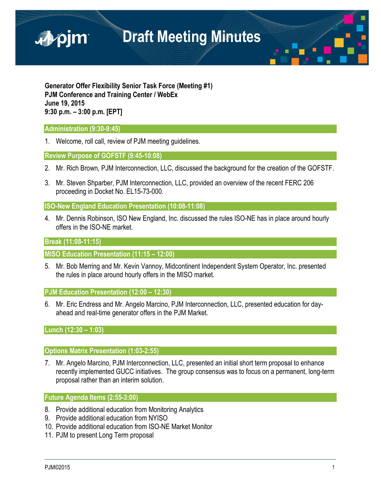

**Generator Offer Flexibility Senior Task Force (Meeting #1) PJM Conference and Training Center / WebEx June 19, 2015 9:30 p.m. – 3:00 p.m. [EPT]**

## **Administration (9:30-9:45)**

1. Welcome, roll call, review of PJM meeting guidelines.

**Review Purpose of GOFSTF (9:45-10:08)** 

- 2. Mr. Rich Brown, PJM Interconnection, LLC, discussed the background for the creation of the GOFSTF.
- 3. Mr. Steven Shparber, PJM Interconnection, LLC, provided an overview of the recent FERC 206 proceeding in Docket No. EL15-73-000.

**ISO-New England Education Presentation (10:08-11:08)** 

4. Mr. Dennis Robinson, ISO New England, Inc. discussed the rules ISO-NE has in place around hourly offers in the ISO-NE market.

## **Break (11:08-11:15)**

**MISO Education Presentation (11:15 – 12:00)**

5. Mr. Bob Merring and Mr. Kevin Vannoy, Midcontinent Independent System Operator, Inc. presented the rules in place around hourly offers in the MISO market.

**PJM Education Presentation (12:00 – 12:30)**

6. Mr. Eric Endress and Mr. Angelo Marcino, PJM Interconnection, LLC, presented education for dayahead and real-time generator offers in the PJM Market.

**Lunch (12:30 – 1:03)**

## **Options Matrix Presentation (1:03-2:55)**

7. Mr. Angelo Marcino, PJM Interconnection, LLC, presented an initial short term proposal to enhance recently implemented GUCC initiatives. The group consensus was to focus on a permanent, long-term proposal rather than an interim solution.

**Future Agenda Items (2:55-3:00)** 

- 8. Provide additional education from Monitoring Analytics
- 9. Provide additional education from NYISO
- 10. Provide additional education from ISO-NE Market Monitor
- 11. PJM to present Long Term proposal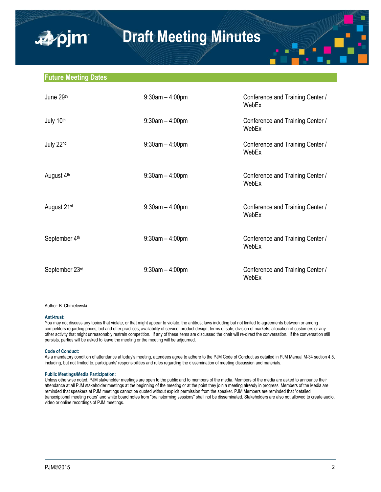### **Future Meeting Dates**

■pim

| June 29th               | $9:30$ am $-4:00$ pm | Conference and Training Center /<br>WebEx |
|-------------------------|----------------------|-------------------------------------------|
| July 10th               | $9:30$ am $-4:00$ pm | Conference and Training Center /<br>WebEx |
| July 22nd               | $9:30$ am $-4:00$ pm | Conference and Training Center /<br>WebEx |
| August 4th              | $9:30am - 4:00pm$    | Conference and Training Center /<br>WebEx |
| August 21 <sup>st</sup> | $9:30$ am $-4:00$ pm | Conference and Training Center /<br>WebEx |
| September 4th           | $9:30$ am $-4:00$ pm | Conference and Training Center /<br>WebEx |
| September 23rd          | $9:30$ am $-4:00$ pm | Conference and Training Center /<br>WebEx |

#### Author: B. Chmielewski

#### **Anti-trust:**

You may not discuss any topics that violate, or that might appear to violate, the antitrust laws including but not limited to agreements between or among competitors regarding prices, bid and offer practices, availability of service, product design, terms of sale, division of markets, allocation of customers or any other activity that might unreasonably restrain competition. If any of these items are discussed the chair will re-direct the conversation. If the conversation still persists, parties will be asked to leave the meeting or the meeting will be adjourned.

#### **Code of Conduct:**

As a mandatory condition of attendance at today's meeting, attendees agree to adhere to the PJM Code of Conduct as detailed in PJM Manual M-34 section 4.5, including, but not limited to, participants' responsibilities and rules regarding the dissemination of meeting discussion and materials.

#### **Public Meetings/Media Participation:**

Unless otherwise noted, PJM stakeholder meetings are open to the public and to members of the media. Members of the media are asked to announce their attendance at all PJM stakeholder meetings at the beginning of the meeting or at the point they join a meeting already in progress. Members of the Media are reminded that speakers at PJM meetings cannot be quoted without explicit permission from the speaker. PJM Members are reminded that "detailed transcriptional meeting notes" and white board notes from "brainstorming sessions" shall not be disseminated. Stakeholders are also not allowed to create audio, video or online recordings of PJM meetings.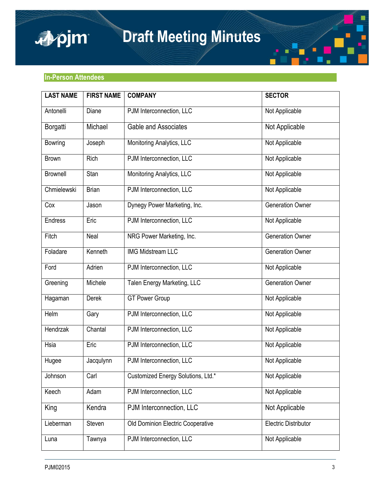



| <b>LAST NAME</b> | <b>FIRST NAME</b> | <b>COMPANY</b>                     | <b>SECTOR</b>               |
|------------------|-------------------|------------------------------------|-----------------------------|
| Antonelli        | Diane             | PJM Interconnection, LLC           | Not Applicable              |
| Borgatti         | Michael           | <b>Gable and Associates</b>        | Not Applicable              |
| <b>Bowring</b>   | Joseph            | Monitoring Analytics, LLC          | Not Applicable              |
| <b>Brown</b>     | Rich              | PJM Interconnection, LLC           | Not Applicable              |
| <b>Brownell</b>  | Stan              | Monitoring Analytics, LLC          | Not Applicable              |
| Chmielewski      | <b>Brian</b>      | PJM Interconnection, LLC           | Not Applicable              |
| Cox              | Jason             | Dynegy Power Marketing, Inc.       | <b>Generation Owner</b>     |
| <b>Endress</b>   | Eric              | PJM Interconnection, LLC           | Not Applicable              |
| Fitch            | Neal              | NRG Power Marketing, Inc.          | <b>Generation Owner</b>     |
| Foladare         | Kenneth           | <b>IMG Midstream LLC</b>           | <b>Generation Owner</b>     |
| Ford             | Adrien            | PJM Interconnection, LLC           | Not Applicable              |
| Greening         | Michele           | Talen Energy Marketing, LLC        | <b>Generation Owner</b>     |
| Hagaman          | Derek             | <b>GT Power Group</b>              | Not Applicable              |
| Helm             | Gary              | PJM Interconnection, LLC           | Not Applicable              |
| Hendrzak         | Chantal           | PJM Interconnection, LLC           | Not Applicable              |
| Hsia             | Eric              | PJM Interconnection, LLC           | Not Applicable              |
| Hugee            | Jacqulynn         | PJM Interconnection, LLC           | Not Applicable              |
| Johnson          | Carl              | Customized Energy Solutions, Ltd.* | Not Applicable              |
| Keech            | Adam              | PJM Interconnection, LLC           | Not Applicable              |
| King             | Kendra            | PJM Interconnection, LLC           | Not Applicable              |
| Lieberman        | Steven            | Old Dominion Electric Cooperative  | <b>Electric Distributor</b> |
| Luna             | Tawnya            | PJM Interconnection, LLC           | Not Applicable              |

П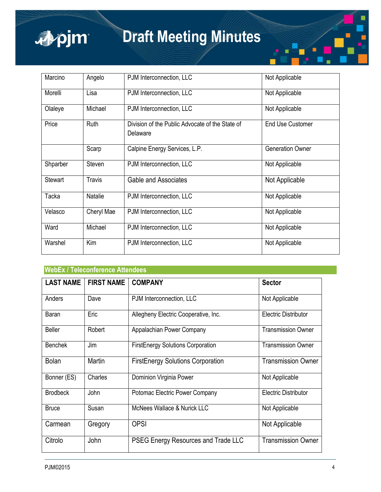

| Marcino        | Angelo        | PJM Interconnection, LLC                                    | Not Applicable          |
|----------------|---------------|-------------------------------------------------------------|-------------------------|
| Morelli        | Lisa          | PJM Interconnection, LLC                                    | Not Applicable          |
| Olaleye        | Michael       | PJM Interconnection, LLC                                    | Not Applicable          |
| Price          | Ruth          | Division of the Public Advocate of the State of<br>Delaware | <b>End Use Customer</b> |
|                | Scarp         | Calpine Energy Services, L.P.                               | <b>Generation Owner</b> |
| Shparber       | Steven        | PJM Interconnection, LLC                                    | Not Applicable          |
| <b>Stewart</b> | <b>Travis</b> | <b>Gable and Associates</b>                                 | Not Applicable          |
| Tacka          | Natalie       | PJM Interconnection, LLC                                    | Not Applicable          |
| Velasco        | Cheryl Mae    | PJM Interconnection, LLC                                    | Not Applicable          |
| Ward           | Michael       | PJM Interconnection, LLC                                    | Not Applicable          |
| Warshel        | Kim           | PJM Interconnection, LLC                                    | Not Applicable          |

## **WebEx / Teleconference Attendees**

| <b>LAST NAME</b> | <b>FIRST NAME</b> | <b>COMPANY</b>                           | <b>Sector</b>               |
|------------------|-------------------|------------------------------------------|-----------------------------|
| Anders           | Dave              | PJM Interconnection, LLC                 | Not Applicable              |
| Baran            | Eric              | Allegheny Electric Cooperative, Inc.     | <b>Electric Distributor</b> |
| <b>Beller</b>    | Robert            | Appalachian Power Company                | <b>Transmission Owner</b>   |
| <b>Benchek</b>   | Jim               | <b>FirstEnergy Solutions Corporation</b> | <b>Transmission Owner</b>   |
| <b>Bolan</b>     | Martin            | <b>FirstEnergy Solutions Corporation</b> | <b>Transmission Owner</b>   |
| Bonner (ES)      | Charles           | Dominion Virginia Power                  | Not Applicable              |
| <b>Brodbeck</b>  | John              | Potomac Electric Power Company           | <b>Electric Distributor</b> |
| <b>Bruce</b>     | Susan             | <b>McNees Wallace &amp; Nurick LLC</b>   | Not Applicable              |
| Carmean          | Gregory           | <b>OPSI</b>                              | Not Applicable              |
| Citrolo          | John              | PSEG Energy Resources and Trade LLC      | <b>Transmission Owner</b>   |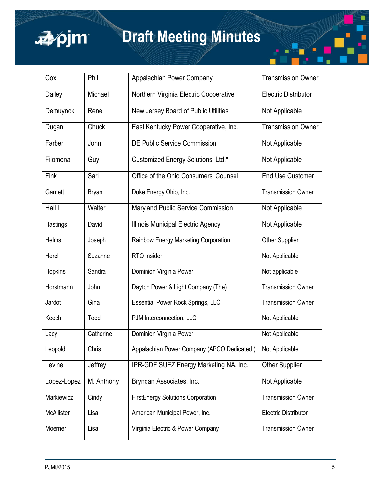

| Cox         | Phil         | Appalachian Power Company                  | <b>Transmission Owner</b>   |
|-------------|--------------|--------------------------------------------|-----------------------------|
| Dailey      | Michael      | Northern Virginia Electric Cooperative     | <b>Electric Distributor</b> |
| Demuynck    | Rene         | New Jersey Board of Public Utilities       | Not Applicable              |
| Dugan       | Chuck        | East Kentucky Power Cooperative, Inc.      | <b>Transmission Owner</b>   |
| Farber      | John         | <b>DE Public Service Commission</b>        | Not Applicable              |
| Filomena    | Guy          | Customized Energy Solutions, Ltd.*         | Not Applicable              |
| Fink        | Sari         | Office of the Ohio Consumers' Counsel      | <b>End Use Customer</b>     |
| Garnett     | <b>Bryan</b> | Duke Energy Ohio, Inc.                     | <b>Transmission Owner</b>   |
| Hall II     | Walter       | Maryland Public Service Commission         | Not Applicable              |
| Hastings    | David        | Illinois Municipal Electric Agency         | Not Applicable              |
| Helms       | Joseph       | Rainbow Energy Marketing Corporation       | Other Supplier              |
| Herel       | Suzanne      | RTO Insider                                | Not Applicable              |
| Hopkins     | Sandra       | Dominion Virginia Power                    | Not applicable              |
| Horstmann   | John         | Dayton Power & Light Company (The)         | <b>Transmission Owner</b>   |
| Jardot      | Gina         | <b>Essential Power Rock Springs, LLC</b>   | <b>Transmission Owner</b>   |
| Keech       | Todd         | PJM Interconnection, LLC                   | Not Applicable              |
| Lacy        | Catherine    | Dominion Virginia Power                    | Not Applicable              |
| Leopold     | Chris        | Appalachian Power Company (APCO Dedicated) | Not Applicable              |
| Levine      | Jeffrey      | IPR-GDF SUEZ Energy Marketing NA, Inc.     | <b>Other Supplier</b>       |
| Lopez-Lopez | M. Anthony   | Bryndan Associates, Inc.                   | Not Applicable              |
| Markiewicz  | Cindy        | <b>FirstEnergy Solutions Corporation</b>   | <b>Transmission Owner</b>   |
| McAllister  | Lisa         | American Municipal Power, Inc.             | Electric Distributor        |
| Moerner     | Lisa         | Virginia Electric & Power Company          | <b>Transmission Owner</b>   |

П